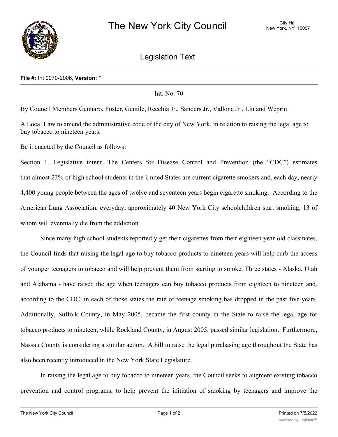

Legislation Text

## **File #:** Int 0070-2006, **Version:** \*

Int. No. 70

By Council Members Gennaro, Foster, Gentile, Recchia Jr., Sanders Jr., Vallone Jr., Liu and Weprin

A Local Law to amend the administrative code of the city of New York, in relation to raising the legal age to buy tobacco to nineteen years.

Be it enacted by the Council as follows:

Section 1. Legislative intent. The Centers for Disease Control and Prevention (the "CDC") estimates that almost 23% of high school students in the United States are current cigarette smokers and, each day, nearly 4,400 young people between the ages of twelve and seventeen years begin cigarette smoking. According to the American Lung Association, everyday, approximately 40 New York City schoolchildren start smoking, 13 of whom will eventually die from the addiction.

Since many high school students reportedly get their cigarettes from their eighteen year-old classmates, the Council finds that raising the legal age to buy tobacco products to nineteen years will help curb the access of younger teenagers to tobacco and will help prevent them from starting to smoke. Three states - Alaska, Utah and Alabama - have raised the age when teenagers can buy tobacco products from eighteen to nineteen and, according to the CDC, in each of those states the rate of teenage smoking has dropped in the past five years. Additionally, Suffolk County, in May 2005, became the first county in the State to raise the legal age for tobacco products to nineteen, while Rockland County, in August 2005, passed similar legislation. Furthermore, Nassau County is considering a similar action. A bill to raise the legal purchasing age throughout the State has also been recently introduced in the New York State Legislature.

In raising the legal age to buy tobacco to nineteen years, the Council seeks to augment existing tobacco prevention and control programs, to help prevent the initiation of smoking by teenagers and improve the